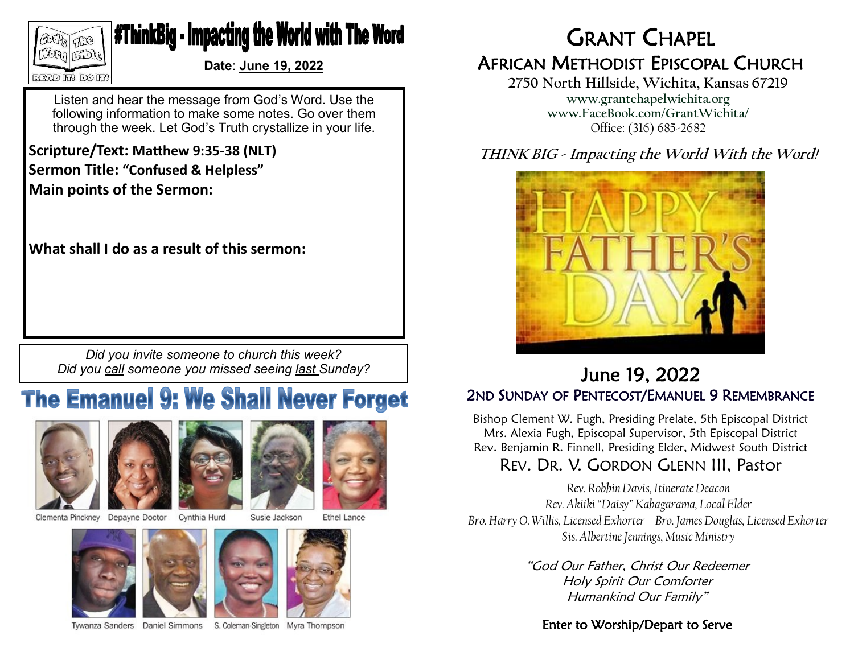

## **#ThinkBig - Impacting the World with The Word**

**Date**: **June 19, 2022**

Listen and hear the message from God's Word. Use the following information to make some notes. Go over them through the week. Let God's Truth crystallize in your life.

**Scripture/Text: Matthew 9:35-38 (NLT)**

**Sermon Title: "Confused & Helpless" Main points of the Sermon:**

**What shall I do as a result of this sermon:**

*Did you invite someone to church this week? Did you call someone you missed seeing last Sunday?*

# **The Emanuel 9: We Shall Never Forget**





Clementa Pinckney Depayne Doctor

Cynthia Hurd Susie Jackson

**Ethel Lance** 







Tywanza Sanders Daniel Simmons

S. Coleman-Singleton Myra Thompson

GRANT CHAPEL AFRICAN METHODIST EPISCOPAL CHURCH

**2750 North Hillside, Wichita, Kansas 67219 www.grantchapelwichita.org www.FaceBook.com/GrantWichita/** Office: (316) 685-2682

### **THINK BIG - Impacting the World With the Word!**



## June 19, 2022 2ND SUNDAY OF PENTECOST/EMANUEL 9 REMEMBRANCE

Bishop Clement W. Fugh, Presiding Prelate, 5th Episcopal District Mrs. Alexia Fugh, Episcopal Supervisor, 5th Episcopal District Rev. Benjamin R. Finnell, Presiding Elder, Midwest South District

## REV. DR. V. GORDON GLENN III, Pastor

*Rev. Robbin Davis, Itinerate Deacon Rev. Akiiki "Daisy" Kabagarama, Local Elder Bro. Harry O. Willis, Licensed Exhorter Bro. James Douglas, Licensed Exhorter Sis. Albertine Jennings, Music Ministry*

> "God Our Father, Christ Our Redeemer Holy Spirit Our Comforter Humankind Our Family"

#### Enter to Worship/Depart to Serve